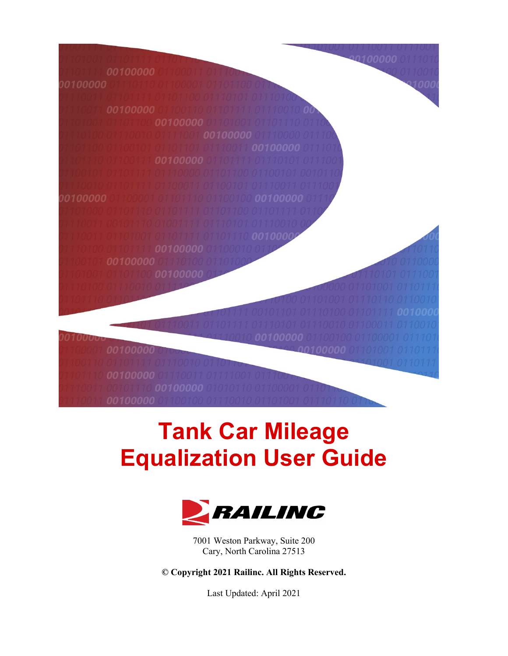100000



# **Tank Car Mileage Equalization User Guide**



7001 Weston Parkway, Suite 200 Cary, North Carolina 27513

**© Copyright 2021 Railinc. All Rights Reserved.**

Last Updated: April 2021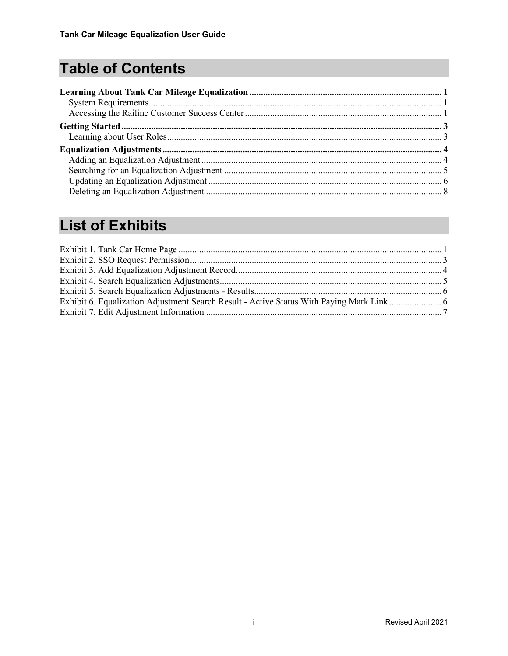# **Table of Contents**

## **List of Exhibits**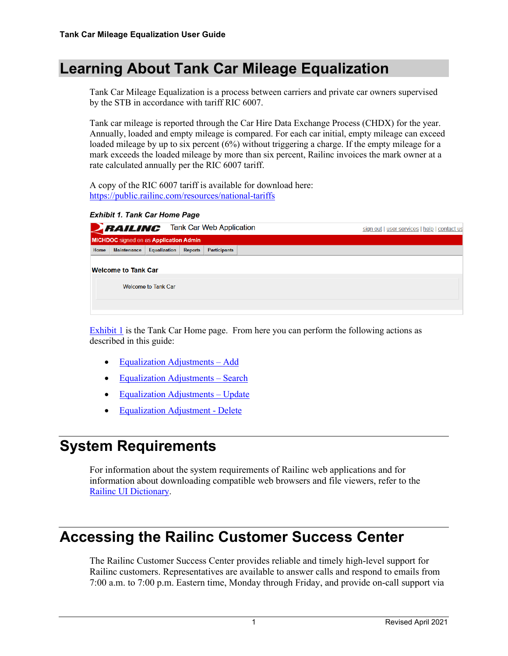#### <span id="page-2-0"></span>**Learning About Tank Car Mileage Equalization**

Tank Car Mileage Equalization is a process between carriers and private car owners supervised by the STB in accordance with tariff RIC 6007.

Tank car mileage is reported through the Car Hire Data Exchange Process (CHDX) for the year. Annually, loaded and empty mileage is compared. For each car initial, empty mileage can exceed loaded mileage by up to six percent (6%) without triggering a charge. If the empty mileage for a mark exceeds the loaded mileage by more than six percent, Railinc invoices the mark owner at a rate calculated annually per the RIC 6007 tariff.

A copy of the RIC 6007 tariff is available for download here: <https://public.railinc.com/resources/national-tariffs>

<span id="page-2-3"></span>*Exhibit 1. Tank Car Home Page*

|      | <b>BAILING</b> Tank Car Web Application       |                     |                |                     | sign out   user services   help   contact us |
|------|-----------------------------------------------|---------------------|----------------|---------------------|----------------------------------------------|
|      | <b>MICHDOC</b> signed on as Application Admin |                     |                |                     |                                              |
| Home | <b>Maintenance</b>                            | <b>Equalization</b> | <b>Reports</b> | <b>Participants</b> |                                              |
|      | <b>Welcome to Tank Car</b>                    |                     |                |                     |                                              |
|      |                                               | Welcome to Tank Car |                |                     |                                              |
|      |                                               |                     |                |                     |                                              |

**[Exhibit 1](#page-2-3)** is the Tank Car Home page. From here you can perform the following actions as described in this guide:

- [Equalization Adjustments –](#page-5-1) Add
- [Equalization Adjustments –](#page-6-0) Search
- Equalization Adjustments Update
- [Equalization Adjustment -](#page-9-0) Delete

### <span id="page-2-1"></span>**System Requirements**

For information about the system requirements of Railinc web applications and for information about downloading compatible web browsers and file viewers, refer to the [Railinc UI Dictionary.](https://public.railinc.com/sites/default/files/documents/Railinc_UI_Dictionary.pdf)

#### <span id="page-2-2"></span>**Accessing the Railinc Customer Success Center**

The Railinc Customer Success Center provides reliable and timely high-level support for Railinc customers. Representatives are available to answer calls and respond to emails from 7:00 a.m. to 7:00 p.m. Eastern time, Monday through Friday, and provide on-call support via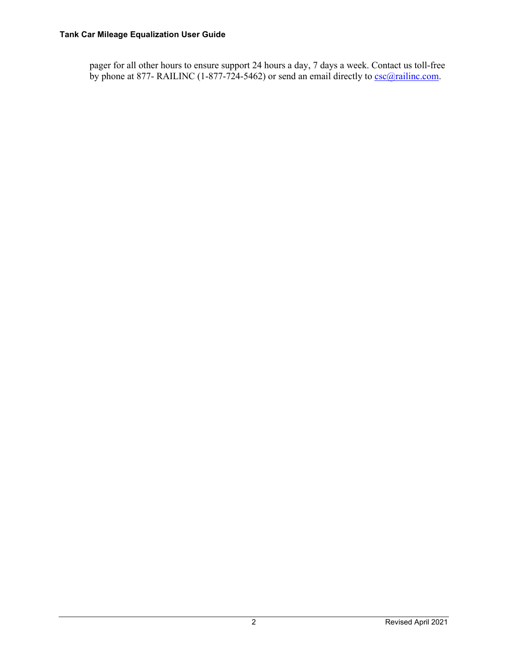#### **Tank Car Mileage Equalization User Guide**

pager for all other hours to ensure support 24 hours a day, 7 days a week. Contact us toll-free by phone at 877- RAILINC (1-877-724-5462) or send an email directly to <u>csc@railinc.com</u>.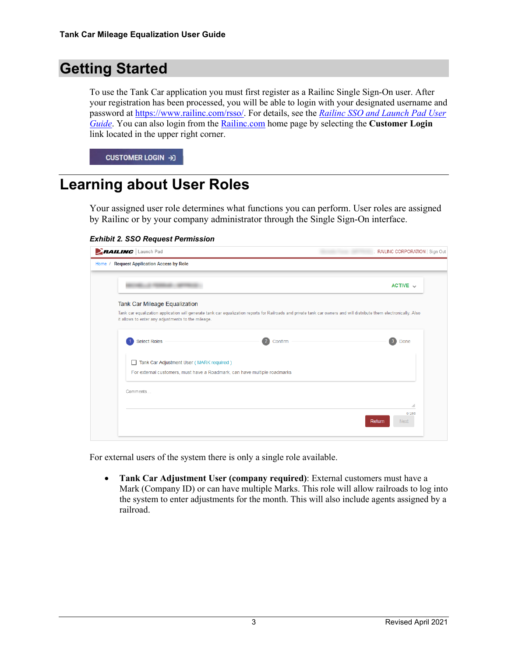#### <span id="page-4-0"></span>**Getting Started**

To use the Tank Car application you must first register as a Railinc Single Sign-On user. After your registration has been processed, you will be able to login with your designated username and password at [https://www.railinc.com/rsso/.](https://www.railinc.com/rsso/) For details, see the *Railinc SSO and Launch Pad User Guide*. You can also login from the [Railinc.com](https://public.railinc.com/) home page by selecting the **Customer Login** link located in the upper right corner.

CUSTOMER LOGIN → 3

#### <span id="page-4-1"></span>**Learning about User Roles**

Your assigned user role determines what functions you can perform. User roles are assigned by Railinc or by your company administrator through the Single Sign-On interface.

#### <span id="page-4-2"></span>*Exhibit 2. SSO Request Permission*

| <b>RAILING</b> Launch Pad                                                                                                                                                                                                   | RAILINC CORPORATION   Sign Out |
|-----------------------------------------------------------------------------------------------------------------------------------------------------------------------------------------------------------------------------|--------------------------------|
| <b>Request Application Access by Role</b><br>Home /                                                                                                                                                                         |                                |
|                                                                                                                                                                                                                             | ACTIVE $\sim$                  |
| <b>Tank Car Mileage Equalization</b>                                                                                                                                                                                        |                                |
| Tank car equalization application will generate tank car equalization reports for Railroads and private tank car owners and will distribute them electronically. Also<br>it allows to enter any adjustments to the mileage. |                                |
| <b>Select Roles</b><br>$\overline{2}$<br>Confirm                                                                                                                                                                            | Done<br>-3                     |
| Tank Car Adjustment User (MARK required)                                                                                                                                                                                    |                                |
| For external customers, must have a Roadmark, can have multiple roadmarks                                                                                                                                                   |                                |
| Comments                                                                                                                                                                                                                    |                                |
|                                                                                                                                                                                                                             | $\cdot$                        |
|                                                                                                                                                                                                                             | 0/255<br>Return<br><b>Next</b> |
|                                                                                                                                                                                                                             |                                |

For external users of the system there is only a single role available.

• **Tank Car Adjustment User (company required)**: External customers must have a Mark (Company ID) or can have multiple Marks. This role will allow railroads to log into the system to enter adjustments for the month. This will also include agents assigned by a railroad.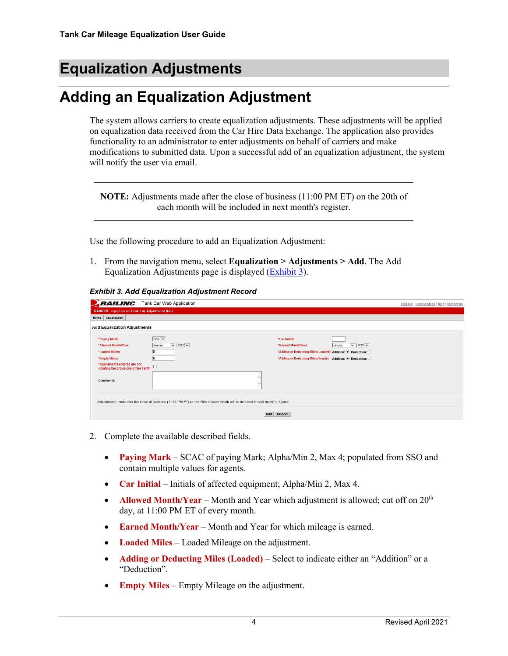### <span id="page-5-0"></span>**Equalization Adjustments**

### <span id="page-5-1"></span>**Adding an Equalization Adjustment**

The system allows carriers to create equalization adjustments. These adjustments will be applied on equalization data received from the Car Hire Data Exchange. The application also provides functionality to an administrator to enter adjustments on behalf of carriers and make modifications to submitted data. Upon a successful add of an equalization adjustment, the system will notify the user via email.

**NOTE:** Adjustments made after the close of business (11:00 PM ET) on the 20th of each month will be included in next month's register.

Use the following procedure to add an Equalization Adjustment:

1. From the navigation menu, select **Equalization > Adjustments > Add**. The Add Equalization Adjustments page is displayed [\(Exhibit 3\)](#page-5-2).

<span id="page-5-2"></span>*Exhibit 3. Add Equalization Adjustment Record*

| <b>RAILING</b> Tank Car Web Application                                                  |                                                                                                                                 |                                                                                           | sign out   user services   help   contact us |
|------------------------------------------------------------------------------------------|---------------------------------------------------------------------------------------------------------------------------------|-------------------------------------------------------------------------------------------|----------------------------------------------|
| <b>TRAINDOC</b> signed on as Tank Car Adjustment User                                    |                                                                                                                                 |                                                                                           |                                              |
| Equalization<br>Home                                                                     |                                                                                                                                 |                                                                                           |                                              |
| <b>Add Equalization Adjustments</b>                                                      |                                                                                                                                 |                                                                                           |                                              |
| *Paying Mark:<br>*Allowed Month/Year:                                                    | $RAIL$ $\vee$<br>$\sqrt{2015}$<br>January                                                                                       | *Car Initial:<br>$\triangleright$ 2015 $\triangleright$<br>*Earned Month/Year:<br>January |                                              |
| *Loaded Miles:                                                                           |                                                                                                                                 | *Adding or Deducting Miles(Loaded): Addition: <sup>●</sup> Deduction: ○                   |                                              |
| *Empty Miles:<br>*Adjustments entered are not<br>violating the provisions of the Tariff: |                                                                                                                                 | *Adding or Deducting Miles(Empty): Addition: C Deduction: O                               |                                              |
| <b>Comments:</b>                                                                         |                                                                                                                                 |                                                                                           |                                              |
|                                                                                          | Adjustments made after the close of business (11:00 PM ET) on the 20th of each month will be included in next month's register. |                                                                                           |                                              |
|                                                                                          | <b>Add</b>                                                                                                                      | Cancel                                                                                    |                                              |

- 2. Complete the available described fields.
	- **Paying Mark** SCAC of paying Mark; Alpha/Min 2, Max 4; populated from SSO and contain multiple values for agents.
	- **Car Initial** Initials of affected equipment; Alpha/Min 2, Max 4.
	- **Allowed Month/Year** Month and Year which adjustment is allowed; cut off on 20<sup>th</sup> day, at 11:00 PM ET of every month.
	- **Earned Month/Year** Month and Year for which mileage is earned.
	- **Loaded Miles** Loaded Mileage on the adjustment.
	- **Adding or Deducting Miles (Loaded)** Select to indicate either an "Addition" or a "Deduction".
	- **Empty Miles** Empty Mileage on the adjustment.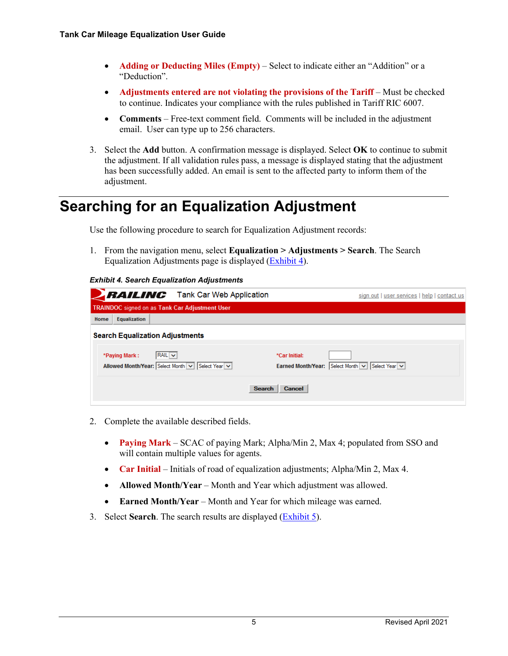- **Adding or Deducting Miles (Empty)** Select to indicate either an "Addition" or a "Deduction".
- **Adjustments entered are not violating the provisions of the Tariff** Must be checked to continue. Indicates your compliance with the rules published in Tariff RIC 6007.
- **Comments**  Free-text comment field. Comments will be included in the adjustment email. User can type up to 256 characters.
- 3. Select the **Add** button. A confirmation message is displayed. Select **OK** to continue to submit the adjustment. If all validation rules pass, a message is displayed stating that the adjustment has been successfully added. An email is sent to the affected party to inform them of the adjustment.

#### <span id="page-6-0"></span>**Searching for an Equalization Adjustment**

Use the following procedure to search for Equalization Adjustment records:

1. From the navigation menu, select **Equalization > Adjustments > Search**. The Search Equalization Adjustments page is displayed [\(Exhibit 4\)](#page-6-1).

#### <span id="page-6-1"></span>*Exhibit 4. Search Equalization Adjustments*

|      |               | <b>BAILING</b> Tank Car Web Application                         | sign out   user services   help   contact us                               |
|------|---------------|-----------------------------------------------------------------|----------------------------------------------------------------------------|
|      |               | <b>TRAINDOC</b> signed on as Tank Car Adjustment User           |                                                                            |
| Home | Equalization  |                                                                 |                                                                            |
|      |               | <b>Search Equalization Adjustments</b>                          |                                                                            |
|      | *Paying Mark: | $RAIL \vee$<br>Allowed Month/Year: Select Month v Select Year v | *Car Initial:<br>Earned Month/Year: Select Month $\vee$ Select Year $\vee$ |
|      |               |                                                                 | Search<br>Cancel                                                           |

- 2. Complete the available described fields.
	- **Paying Mark** SCAC of paying Mark; Alpha/Min 2, Max 4; populated from SSO and will contain multiple values for agents.
	- **Car Initial** Initials of road of equalization adjustments; Alpha/Min 2, Max 4.
	- **Allowed Month/Year** Month and Year which adjustment was allowed.
	- **Earned Month/Year** Month and Year for which mileage was earned.
- 3. Select **Search**. The search results are displayed [\(Exhibit 5\)](#page-7-1).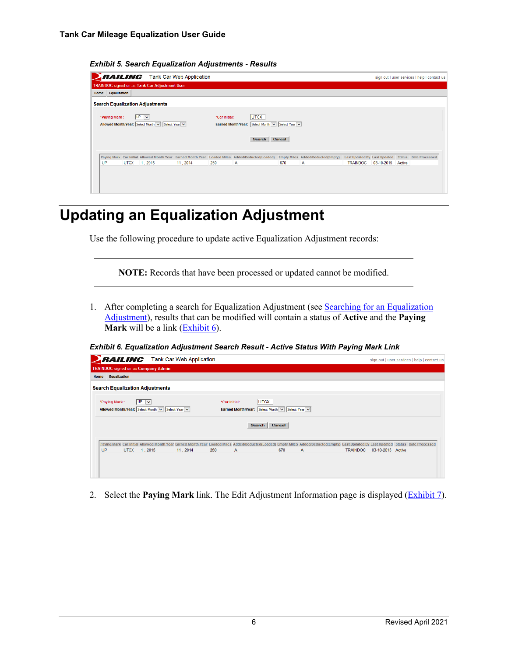

<span id="page-7-1"></span>*Exhibit 5. Search Equalization Adjustments - Results*

#### <span id="page-7-0"></span>**Updating an Equalization Adjustment**

Use the following procedure to update active Equalization Adjustment records:

**NOTE:** Records that have been processed or updated cannot be modified.

1. After completing a search for Equalization Adjustment (see Searching for an Equalization [Adjustment\)](#page-6-0), results that can be modified will contain a status of **Active** and the **Paying Mark** will be a link (**Exhibit 6**).

<span id="page-7-2"></span>*Exhibit 6. Equalization Adjustment Search Result - Active Status With Paying Mark Link*

|                                                                                                            | <b>RAILING</b> Tank Car Web Application                                                                                                                                            |               |                                                                                           |   |                 |                   | sign out   user services   help   contact us |
|------------------------------------------------------------------------------------------------------------|------------------------------------------------------------------------------------------------------------------------------------------------------------------------------------|---------------|-------------------------------------------------------------------------------------------|---|-----------------|-------------------|----------------------------------------------|
| <b>TRAINDOC</b> signed on as Company Admin                                                                 |                                                                                                                                                                                    |               |                                                                                           |   |                 |                   |                                              |
| Equalization<br>Home                                                                                       |                                                                                                                                                                                    |               |                                                                                           |   |                 |                   |                                              |
| <b>Search Equalization Adjustments</b>                                                                     |                                                                                                                                                                                    |               |                                                                                           |   |                 |                   |                                              |
| <b>UP</b><br>*Paying Mark:<br>$\overline{\phantom{0}}$<br>Allowed Month/Year: Select Month v Select Year v |                                                                                                                                                                                    | *Car Initial: | <b>UTCX</b><br>Earned Month/Year: Select Month v Select Year v<br><b>Search</b><br>Cancel |   |                 |                   |                                              |
| UP<br><b>UTCX</b><br>1,2015                                                                                | Paying Mark Car Initial Allowed Month Year Earned Month Year Loaded Miles Added/Deducted(Loaded) Empty Miles Added/Deducted(Empty) Last Updated By Last Updated<br>250<br>11, 2014 | $\mathsf{A}$  | 670                                                                                       | A | <b>TRAINDOC</b> | 03-10-2015 Active | <b>Status</b> Date Processed                 |

2. Select the **Paying Mark** link. The Edit Adjustment Information page is displayed [\(Exhibit 7\)](#page-8-0).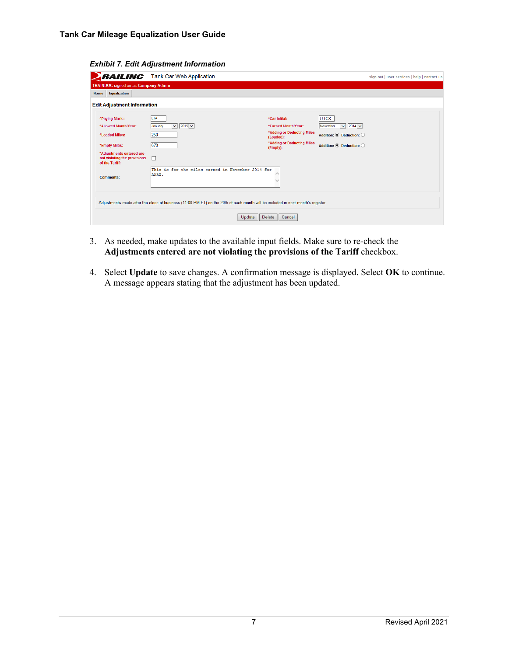<span id="page-8-0"></span>

|                                                                            | <b>RAILING</b> Tank Car Web Application                                                                                         |                                         |                                                    | sign out   user services   help   contact us |
|----------------------------------------------------------------------------|---------------------------------------------------------------------------------------------------------------------------------|-----------------------------------------|----------------------------------------------------|----------------------------------------------|
| <b>TRAINDOC</b> signed on as Company Admin                                 |                                                                                                                                 |                                         |                                                    |                                              |
| Equalization<br>Home                                                       |                                                                                                                                 |                                         |                                                    |                                              |
| <b>Edit Adjustment Information</b>                                         |                                                                                                                                 |                                         |                                                    |                                              |
| *Paying Mark:                                                              | UP.                                                                                                                             | *Car Initial:                           | <b>UTCX</b>                                        |                                              |
| *Allowed Month/Year:                                                       | $\sqrt{2015}$<br>January                                                                                                        | *Earned Month/Year:                     | $\triangleright$ 2014 $\triangleright$<br>November |                                              |
| *Loaded Miles:                                                             | 250                                                                                                                             | *Adding or Deducting Miles<br>(Loaded): | Addition: C Deduction: O                           |                                              |
| *Empty Miles:                                                              | 670                                                                                                                             | *Adding or Deducting Miles<br>(Empty):  | Addition: C Deduction: O                           |                                              |
| *Adjustments entered are<br>not violating the provisions<br>of the Tariff: |                                                                                                                                 |                                         |                                                    |                                              |
| <b>Comments:</b>                                                           | This is for the miles earned in November 2014 for<br>AARX.                                                                      |                                         |                                                    |                                              |
|                                                                            | Adjustments made after the close of business (11:00 PM ET) on the 20th of each month will be included in next month's register. |                                         |                                                    |                                              |
|                                                                            | Update                                                                                                                          | Delete<br>Cancel                        |                                                    |                                              |

*Exhibit 7. Edit Adjustment Information*

- 3. As needed, make updates to the available input fields. Make sure to re-check the **Adjustments entered are not violating the provisions of the Tariff** checkbox.
- 4. Select **Update** to save changes. A confirmation message is displayed. Select **OK** to continue. A message appears stating that the adjustment has been updated.